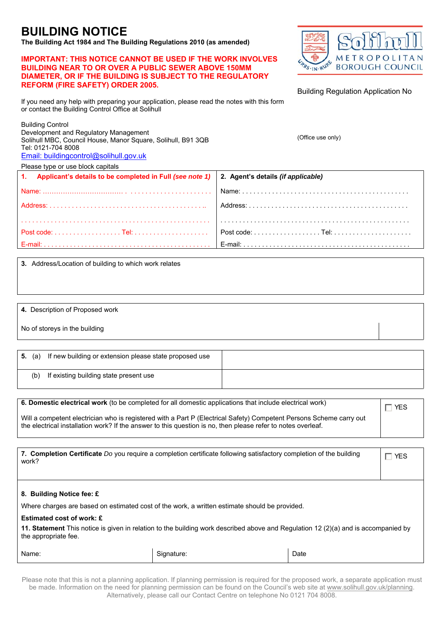## **BUILDING NOTICE**

**The Building Act 1984 and The Building Regulations 2010 (as amended)** 

## **IMPORTANT: THIS NOTICE CANNOT BE USED IF THE WORK INVOLVES BUILDING NEAR TO OR OVER A PUBLIC SEWER ABOVE 150MM DIAMETER, OR IF THE BUILDING IS SUBJECT TO THE REGULATORY REFORM (FIRE SAFETY) ORDER 2005.**



Building Regulation Application No

If you need any help with preparing your application, please read the notes with this form or contact the Building Control Office at Solihull

| <b>Building Control</b><br>Development and Regulatory Management<br>Solihull MBC, Council House, Manor Square, Solihull, B91 3QB<br>Tel: 0121-704 8008<br>Email: buildingcontrol@solihull.gov.uk | (Office use only)                         |  |
|--------------------------------------------------------------------------------------------------------------------------------------------------------------------------------------------------|-------------------------------------------|--|
| Please type or use block capitals                                                                                                                                                                |                                           |  |
| Applicant's details to be completed in Full (see note 1)<br>1.                                                                                                                                   | 2. Agent's details <i>(if applicable)</i> |  |
|                                                                                                                                                                                                  | Name:                                     |  |
| Address:                                                                                                                                                                                         |                                           |  |
|                                                                                                                                                                                                  |                                           |  |
|                                                                                                                                                                                                  |                                           |  |
|                                                                                                                                                                                                  | E-mail:                                   |  |

**3.** Address/Location of building to which work relates

|  |  | 4. Description of Proposed work |  |
|--|--|---------------------------------|--|
|--|--|---------------------------------|--|

No of storeys in the building

| <b>5.</b> (a) | If new building or extension please state proposed use |  |
|---------------|--------------------------------------------------------|--|
| (b)           | If existing building state present use                 |  |

| 6. Domestic electrical work (to be completed for all domestic applications that include electrical work)                                                                                                                            | $\overline{\phantom{a}}$ T YES |
|-------------------------------------------------------------------------------------------------------------------------------------------------------------------------------------------------------------------------------------|--------------------------------|
| Will a competent electrician who is registered with a Part P (Electrical Safety) Competent Persons Scheme carry out<br>the electrical installation work? If the answer to this question is no, then please refer to notes overleaf. |                                |

| 7. Completion Certificate Do you require a completion certificate following satisfactory completion of the building<br>work?                               |            |      | $\Box$ Yes |
|------------------------------------------------------------------------------------------------------------------------------------------------------------|------------|------|------------|
|                                                                                                                                                            |            |      |            |
| 8. Building Notice fee: £                                                                                                                                  |            |      |            |
| Where charges are based on estimated cost of the work, a written estimate should be provided.                                                              |            |      |            |
| Estimated cost of work: £                                                                                                                                  |            |      |            |
| 11. Statement This notice is given in relation to the building work described above and Regulation 12 (2)(a) and is accompanied by<br>the appropriate fee. |            |      |            |
| Name:                                                                                                                                                      | Signature: | Date |            |

Please note that this is not a planning application. If planning permission is required for the proposed work, a separate application must be made. Information on the need for planning permission can be found on the Council's web site at www.solihull.gov.uk/planning. Alternatively, please call our Contact Centre on telephone No 0121 704 8008.